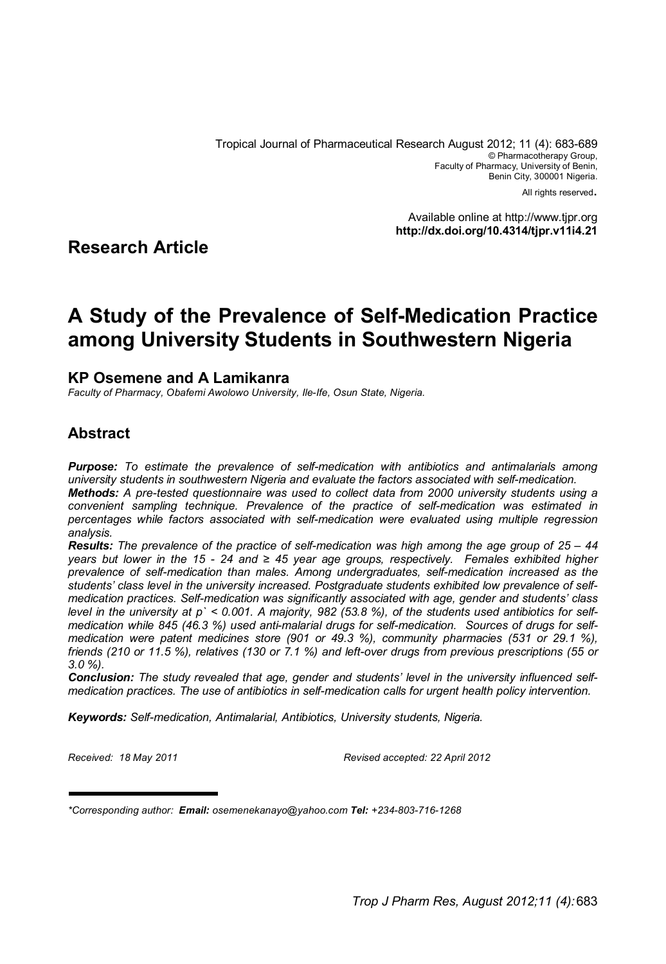Tropical Journal of Pharmaceutical Research August 2012; 11 (4): 683-689 © Pharmacotherapy Group, Faculty of Pharmacy, University of Benin, Benin City, 300001 Nigeria.

All rights reserved.

Available online at http://www.tjpr.org **http://dx.doi.org/10.4314/tjpr.v11i4.21**

# **Research Article**

# **A Study of the Prevalence of Self-Medication Practice among University Students in Southwestern Nigeria**

## **KP Osemene and A Lamikanra**

*Faculty of Pharmacy, Obafemi Awolowo University, Ile-Ife, Osun State, Nigeria.*

# **Abstract**

*Purpose: To estimate the prevalence of self-medication with antibiotics and antimalarials among university students in southwestern Nigeria and evaluate the factors associated with self-medication. Methods: A pre-tested questionnaire was used to collect data from 2000 university students using a convenient sampling technique. Prevalence of the practice of self-medication was estimated in percentages while factors associated with self-medication were evaluated using multiple regression analysis.*

*Results: The prevalence of the practice of self-medication was high among the age group of 25 – 44 years but lower in the 15 - 24 and ≥ 45 year age groups, respectively. Females exhibited higher prevalence of self-medication than males. Among undergraduates, self-medication increased as the students' class level in the university increased. Postgraduate students exhibited low prevalence of selfmedication practices. Self-medication was significantly associated with age, gender and students' class level in the university at p` < 0.001. A majority, 982 (53.8 %), of the students used antibiotics for selfmedication while 845 (46.3 %) used anti-malarial drugs for self-medication. Sources of drugs for selfmedication were patent medicines store (901 or 49.3 %), community pharmacies (531 or 29.1 %), friends (210 or 11.5 %), relatives (130 or 7.1 %) and left-over drugs from previous prescriptions (55 or 3.0 %).*

*Conclusion: The study revealed that age, gender and students' level in the university influenced selfmedication practices. The use of antibiotics in self-medication calls for urgent health policy intervention.*

*Keywords: Self-medication, Antimalarial, Antibiotics, University students, Nigeria.*

*Received: 18 May 2011 Revised accepted: 22 April 2012*

*\*Corresponding author: Email: osemenekanayo@yahoo.com Tel: +234-803-716-1268*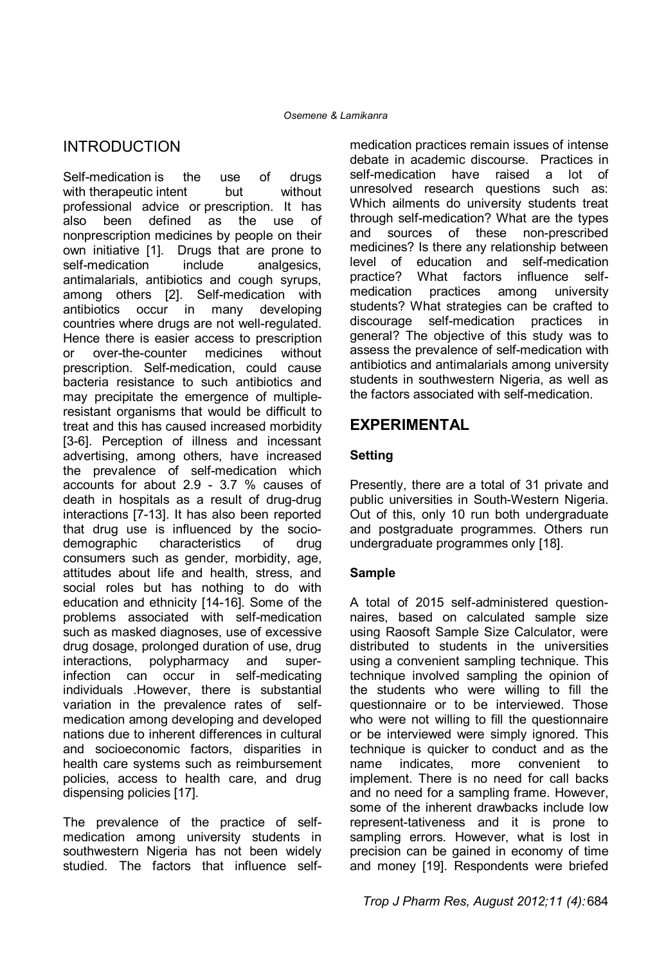## INTRODUCTION

Self-medication is the use of drugs with therapeutic intent but without professional advice or prescription. It has also been defined as the use of nonprescription medicines by people on their own initiative [1]. Drugs that are prone to self-medication include analgesics, antimalarials, antibiotics and cough syrups, among others [2]. Self-medication with antibiotics occur in many developing countries where drugs are not well-regulated. Hence there is easier access to prescription or over-the-counter medicines without prescription. Self-medication, could cause bacteria resistance to such antibiotics and may precipitate the emergence of multipleresistant organisms that would be difficult to treat and this has caused increased morbidity [3-6]. Perception of illness and incessant advertising, among others, have increased the prevalence of self-medication which accounts for about 2.9 - 3.7 % causes of death in hospitals as a result of drug-drug interactions [7-13]. It has also been reported that drug use is influenced by the sociodemographic characteristics of drug consumers such as gender, morbidity, age, attitudes about life and health, stress, and social roles but has nothing to do with education and ethnicity [14-16]. Some of the problems associated with self-medication such as masked diagnoses, use of excessive drug dosage, prolonged duration of use, drug interactions, polypharmacy and superinfection can occur in self-medicating individuals .However, there is substantial variation in the prevalence rates of selfmedication among developing and developed nations due to inherent differences in cultural and socioeconomic factors, disparities in health care systems such as reimbursement policies, access to health care, and drug dispensing policies [17].

The prevalence of the practice of selfmedication among university students in southwestern Nigeria has not been widely studied. The factors that influence selfmedication practices remain issues of intense debate in academic discourse. Practices in self-medication have raised a lot of unresolved research questions such as: Which ailments do university students treat through self-medication? What are the types and sources of these non-prescribed medicines? Is there any relationship between level of education and self-medication practice? What factors influence selfmedication practices among university students? What strategies can be crafted to discourage self-medication practices in general? The objective of this study was to assess the prevalence of self-medication with antibiotics and antimalarials among university students in southwestern Nigeria, as well as the factors associated with self-medication.

## **EXPERIMENTAL**

## **Setting**

Presently, there are a total of 31 private and public universities in South-Western Nigeria. Out of this, only 10 run both undergraduate and postgraduate programmes. Others run undergraduate programmes only [18].

### **Sample**

A total of 2015 self-administered questionnaires, based on calculated sample size using Raosoft Sample Size Calculator, were distributed to students in the universities using a convenient sampling technique. This technique involved sampling the opinion of the students who were willing to fill the questionnaire or to be interviewed. Those who were not willing to fill the questionnaire or be interviewed were simply ignored. This technique is quicker to conduct and as the name indicates, more convenient to implement. There is no need for call backs and no need for a sampling frame. However, some of the inherent drawbacks include low represent-tativeness and it is prone to sampling errors. However, what is lost in precision can be gained in economy of time and money [19]. Respondents were briefed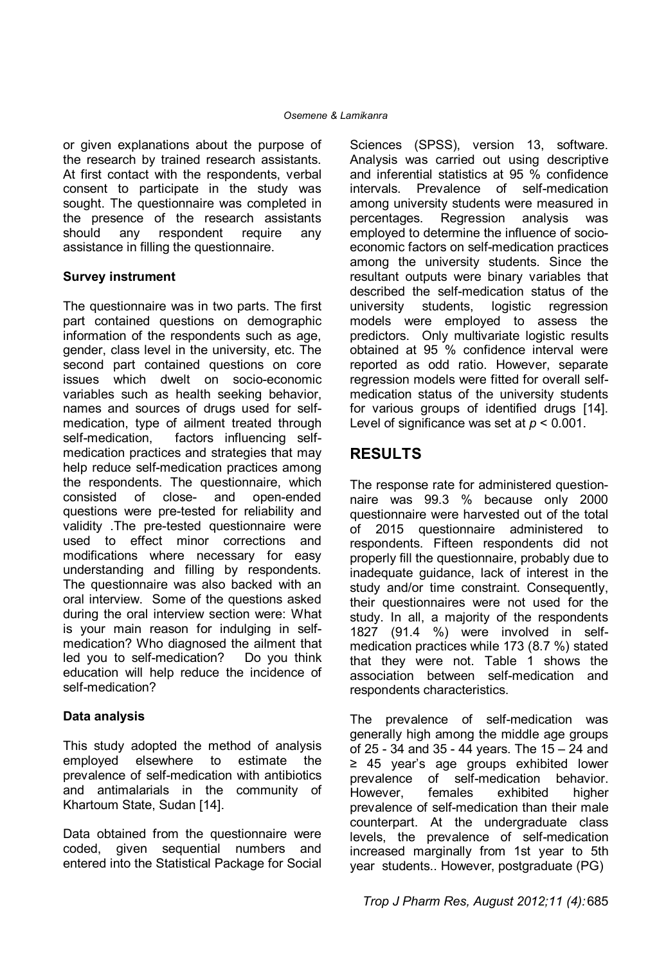or given explanations about the purpose of the research by trained research assistants. At first contact with the respondents, verbal consent to participate in the study was sought. The questionnaire was completed in the presence of the research assistants should any respondent require any assistance in filling the questionnaire.

### **Survey instrument**

The questionnaire was in two parts. The first part contained questions on demographic information of the respondents such as age, gender, class level in the university, etc. The second part contained questions on core issues which dwelt on socio-economic variables such as health seeking behavior, names and sources of drugs used for selfmedication, type of ailment treated through self-medication, factors influencing selfmedication practices and strategies that may help reduce self-medication practices among the respondents. The questionnaire, which consisted of close- and open-ended questions were pre-tested for reliability and validity .The pre-tested questionnaire were used to effect minor corrections and modifications where necessary for easy understanding and filling by respondents. The questionnaire was also backed with an oral interview. Some of the questions asked during the oral interview section were: What is your main reason for indulging in selfmedication? Who diagnosed the ailment that led you to self-medication? Do you think education will help reduce the incidence of self-medication?

### **Data analysis**

This study adopted the method of analysis employed elsewhere to estimate the prevalence of self-medication with antibiotics and antimalarials in the community of Khartoum State, Sudan [14].

Data obtained from the questionnaire were coded, given sequential numbers and entered into the Statistical Package for Social

Sciences (SPSS), version 13, software. Analysis was carried out using descriptive and inferential statistics at 95 % confidence intervals. Prevalence of self-medication among university students were measured in percentages. Regression analysis was employed to determine the influence of socioeconomic factors on self-medication practices among the university students. Since the resultant outputs were binary variables that described the self-medication status of the university students, logistic regression models were employed to assess the predictors. Only multivariate logistic results obtained at 95 % confidence interval were reported as odd ratio. However, separate regression models were fitted for overall selfmedication status of the university students for various groups of identified drugs [14]. Level of significance was set at *p* < 0.001.

## **RESULTS**

The response rate for administered questionnaire was 99.3 % because only 2000 questionnaire were harvested out of the total of 2015 questionnaire administered to respondents. Fifteen respondents did not properly fill the questionnaire, probably due to inadequate guidance, lack of interest in the study and/or time constraint. Consequently, their questionnaires were not used for the study. In all, a majority of the respondents 1827 (91.4 %) were involved in selfmedication practices while 173 (8.7 %) stated that they were not. Table 1 shows the association between self-medication and respondents characteristics.

The prevalence of self-medication was generally high among the middle age groups of 25 - 34 and 35 - 44 years. The 15 – 24 and ≥ 45 year's age groups exhibited lower prevalence of self-medication behavior. However, females exhibited higher prevalence of self-medication than their male counterpart. At the undergraduate class levels, the prevalence of self-medication increased marginally from 1st year to 5th year students.. However, postgraduate (PG)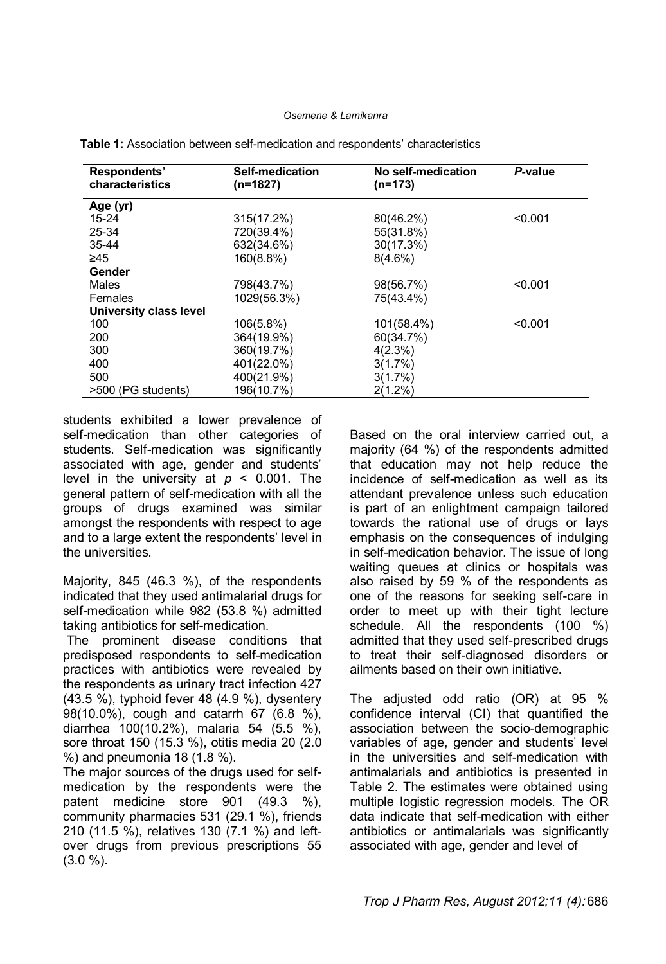#### *Osemene & Lamikanra*

| Respondents'<br>characteristics | Self-medication<br>(n=1827) | No self-medication<br>$(n=173)$ | P-value |  |  |  |
|---------------------------------|-----------------------------|---------------------------------|---------|--|--|--|
| Age (yr)                        |                             |                                 |         |  |  |  |
| 15-24                           | 315(17.2%)                  | 80(46.2%)                       | < 0.001 |  |  |  |
| 25-34                           | 720(39.4%)                  | 55(31.8%)                       |         |  |  |  |
| $35 - 44$                       | 632(34.6%)                  | 30(17.3%)                       |         |  |  |  |
| ≥45                             | 160(8.8%)                   | $8(4.6\%)$                      |         |  |  |  |
| Gender                          |                             |                                 |         |  |  |  |
| Males                           | 798(43.7%)                  | 98(56.7%)                       | < 0.001 |  |  |  |
| Females                         | 1029(56.3%)                 | 75(43.4%)                       |         |  |  |  |
| University class level          |                             |                                 |         |  |  |  |
| 100                             | $106(5.8\%)$                | 101(58.4%)                      | < 0.001 |  |  |  |
| 200                             | 364(19.9%)                  | 60(34.7%)                       |         |  |  |  |
| 300                             | 360(19.7%)                  | 4(2.3%)                         |         |  |  |  |
| 400                             | 401(22.0%)                  | 3(1.7%)                         |         |  |  |  |
| 500                             | 400(21.9%)                  | 3(1.7%)                         |         |  |  |  |
| >500 (PG students)              | 196(10.7%)                  | $2(1.2\%)$                      |         |  |  |  |

| <b>Table 1:</b> Association between self-medication and respondents' characteristics |  |  |  |  |  |
|--------------------------------------------------------------------------------------|--|--|--|--|--|
|--------------------------------------------------------------------------------------|--|--|--|--|--|

students exhibited a lower prevalence of self-medication than other categories of students. Self-medication was significantly associated with age, gender and students' level in the university at *p* < 0.001. The general pattern of self-medication with all the groups of drugs examined was similar amongst the respondents with respect to age and to a large extent the respondents' level in the universities.

Majority, 845 (46.3 %), of the respondents indicated that they used antimalarial drugs for self-medication while 982 (53.8 %) admitted taking antibiotics for self-medication.

 The prominent disease conditions that predisposed respondents to self-medication practices with antibiotics were revealed by the respondents as urinary tract infection 427 (43.5 %), typhoid fever 48 (4.9 %), dysentery 98(10.0%), cough and catarrh 67 (6.8 %), diarrhea 100(10.2%), malaria 54 (5.5 %), sore throat 150 (15.3 %), otitis media 20 (2.0 %) and pneumonia 18 (1.8 %).

The major sources of the drugs used for selfmedication by the respondents were the patent medicine store 901 (49.3 %), community pharmacies 531 (29.1 %), friends 210 (11.5 %), relatives 130 (7.1 %) and leftover drugs from previous prescriptions 55  $(3.0 %)$ .

Based on the oral interview carried out, a majority (64 %) of the respondents admitted that education may not help reduce the incidence of self-medication as well as its attendant prevalence unless such education is part of an enlightment campaign tailored towards the rational use of drugs or lays emphasis on the consequences of indulging in self-medication behavior. The issue of long waiting queues at clinics or hospitals was also raised by 59 % of the respondents as one of the reasons for seeking self-care in order to meet up with their tight lecture schedule. All the respondents (100 %) admitted that they used self-prescribed drugs to treat their self-diagnosed disorders or ailments based on their own initiative.

The adjusted odd ratio (OR) at 95 % confidence interval (CI) that quantified the association between the socio-demographic variables of age, gender and students' level in the universities and self-medication with antimalarials and antibiotics is presented in Table 2. The estimates were obtained using multiple logistic regression models. The OR data indicate that self-medication with either antibiotics or antimalarials was significantly associated with age, gender and level of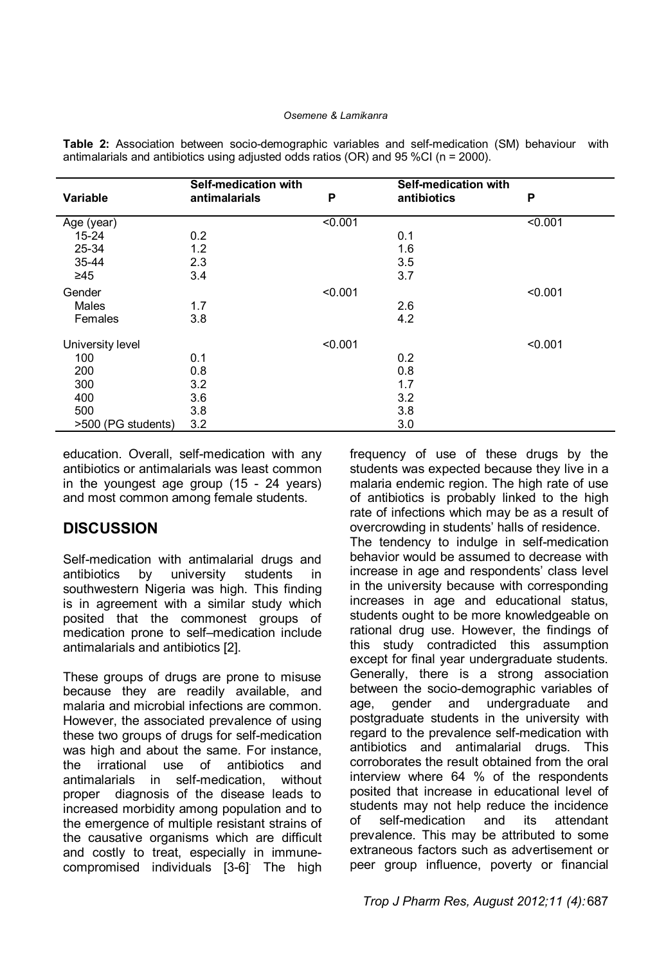#### *Osemene & Lamikanra*

| <b>Variable</b>    | Self-medication with<br>antimalarials | P       | Self-medication with<br>antibiotics | P       |
|--------------------|---------------------------------------|---------|-------------------------------------|---------|
| Age (year)         |                                       | < 0.001 |                                     | < 0.001 |
| $15 - 24$          | 0.2                                   |         | 0.1                                 |         |
| 25-34              | 1.2                                   |         | 1.6                                 |         |
| $35 - 44$          | 2.3                                   |         | 3.5                                 |         |
| $\geq 45$          | 3.4                                   |         | 3.7                                 |         |
| Gender             |                                       | < 0.001 |                                     | < 0.001 |
| Males              | 1.7                                   |         | 2.6                                 |         |
| Females            | 3.8                                   |         | 4.2                                 |         |
| University level   |                                       | < 0.001 |                                     | < 0.001 |
| 100                | 0.1                                   |         | 0.2                                 |         |
| 200                | 0.8                                   |         | 0.8                                 |         |
| 300                | 3.2                                   |         | 1.7                                 |         |
| 400                | 3.6                                   |         | 3.2                                 |         |
| 500                | 3.8                                   |         | 3.8                                 |         |
| >500 (PG students) | 3.2                                   |         | 3.0                                 |         |

**Table 2:** Association between socio-demographic variables and self-medication (SM) behaviour with antimalarials and antibiotics using adjusted odds ratios (OR) and 95 %Cl ( $n = 2000$ ).

education. Overall, self-medication with any antibiotics or antimalarials was least common in the youngest age group (15 - 24 years) and most common among female students.

## **DISCUSSION**

Self-medication with antimalarial drugs and antibiotics by university students in southwestern Nigeria was high. This finding is in agreement with a similar study which posited that the commonest groups of medication prone to self–medication include antimalarials and antibiotics [2].

These groups of drugs are prone to misuse because they are readily available, and malaria and microbial infections are common. However, the associated prevalence of using these two groups of drugs for self-medication was high and about the same. For instance, the irrational use of antibiotics and antimalarials in self-medication, without proper diagnosis of the disease leads to increased morbidity among population and to the emergence of multiple resistant strains of the causative organisms which are difficult and costly to treat, especially in immunecompromised individuals [3-6]. The high frequency of use of these drugs by the students was expected because they live in a malaria endemic region. The high rate of use of antibiotics is probably linked to the high rate of infections which may be as a result of overcrowding in students' halls of residence.

The tendency to indulge in self-medication behavior would be assumed to decrease with increase in age and respondents' class level in the university because with corresponding increases in age and educational status, students ought to be more knowledgeable on rational drug use. However, the findings of this study contradicted this assumption except for final year undergraduate students. Generally, there is a strong association between the socio-demographic variables of age, gender and undergraduate and postgraduate students in the university with regard to the prevalence self-medication with antibiotics and antimalarial drugs. This corroborates the result obtained from the oral interview where 64 % of the respondents posited that increase in educational level of students may not help reduce the incidence of self-medication and its attendant prevalence. This may be attributed to some extraneous factors such as advertisement or peer group influence, poverty or financial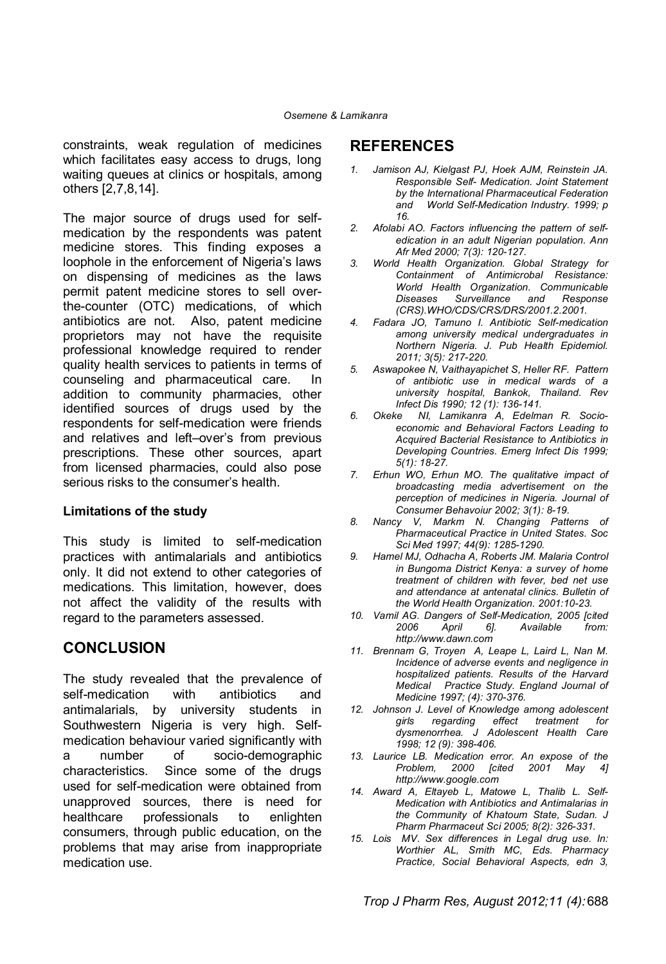constraints, weak regulation of medicines which facilitates easy access to drugs, long waiting queues at clinics or hospitals, among others [2,7,8,14].

The major source of drugs used for selfmedication by the respondents was patent medicine stores. This finding exposes a loophole in the enforcement of Nigeria's laws on dispensing of medicines as the laws permit patent medicine stores to sell overthe-counter (OTC) medications, of which antibiotics are not. Also, patent medicine proprietors may not have the requisite professional knowledge required to render quality health services to patients in terms of counseling and pharmaceutical care. In addition to community pharmacies, other identified sources of drugs used by the respondents for self-medication were friends and relatives and left–over's from previous prescriptions. These other sources, apart from licensed pharmacies, could also pose serious risks to the consumer's health.

#### **Limitations of the study**

This study is limited to self-medication practices with antimalarials and antibiotics only. It did not extend to other categories of medications. This limitation, however, does not affect the validity of the results with regard to the parameters assessed.

## **CONCLUSION**

The study revealed that the prevalence of self-medication with antibiotics and antimalarials, by university students in Southwestern Nigeria is very high. Selfmedication behaviour varied significantly with a number of socio-demographic characteristics. Since some of the drugs used for self-medication were obtained from unapproved sources, there is need for healthcare professionals to enlighten consumers, through public education, on the problems that may arise from inappropriate medication use.

## **REFERENCES**

- *1. Jamison AJ, Kielgast PJ, Hoek AJM, Reinstein JA. Responsible Self- Medication. Joint Statement by the International Pharmaceutical Federation and World Self-Medication Industry. 1999; p 16.*
- *2. Afolabi AO. Factors influencing the pattern of selfedication in an adult Nigerian population. Ann Afr Med 2000; 7(3): 120-127.*
- *3. World Health Organization. Global Strategy for Containment of Antimicrobal Resistance: World Health Organization. Communicable Diseases Surveillance and Response (CRS).WHO/CDS/CRS/DRS/2001.2.2001.*
- *4. Fadara JO, Tamuno I. Antibiotic Self-medication among university medical undergraduates in Northern Nigeria. J. Pub Health Epidemiol. 2011; 3(5): 217-220.*
- *5. Aswapokee N, Vaithayapichet S, Heller RF. Pattern of antibiotic use in medical wards of a university hospital, Bankok, Thailand. Rev Infect Dis 1990; 12 (1): 136-141.*
- *6. Okeke NI, Lamikanra A, Edelman R. Socioeconomic and Behavioral Factors Leading to Acquired Bacterial Resistance to Antibiotics in Developing Countries. Emerg Infect Dis 1999; 5(1): 18-27.*
- *7. Erhun WO, Erhun MO. The qualitative impact of broadcasting media advertisement on the perception of medicines in Nigeria. Journal of Consumer Behavoiur 2002; 3(1): 8-19.*
- *8. Nancy V, Markm N. Changing Patterns of Pharmaceutical Practice in United States. Soc Sci Med 1997; 44(9): 1285-1290.*
- *9. Hamel MJ, Odhacha A, Roberts JM. Malaria Control in Bungoma District Kenya: a survey of home treatment of children with fever, bed net use and attendance at antenatal clinics. Bulletin of the World Health Organization. 2001:10-23.*
- *10. Vamil AG. Dangers of Self-Medication, 2005 [cited 2006 April 6]. Available from: http://www.dawn.com*
- *11. Brennam G, Troyen A, Leape L, Laird L, Nan M. Incidence of adverse events and negligence in hospitalized patients. Results of the Harvard Medical Practice Study. England Journal of Medicine 1997; (4): 370-376.*
- *12. Johnson J. Level of Knowledge among adolescent girls regarding effect treatment for dysmenorrhea. J Adolescent Health Care 1998; 12 (9): 398-406.*
- *13. Laurice LB. Medication error. An expose of the Problem, 2000 [cited 2001 May 4] http://www.google.com*
- *14. Award A, Eltayeb L, Matowe L, Thalib L. Self-Medication with Antibiotics and Antimalarias in the Community of Khatoum State, Sudan. J Pharm Pharmaceut Sci 2005; 8(2): 326-331.*
- *15. Lois MV. Sex differences in Legal drug use. In: Worthier AL, Smith MC, Eds. Pharmacy Practice, Social Behavioral Aspects, edn 3,*